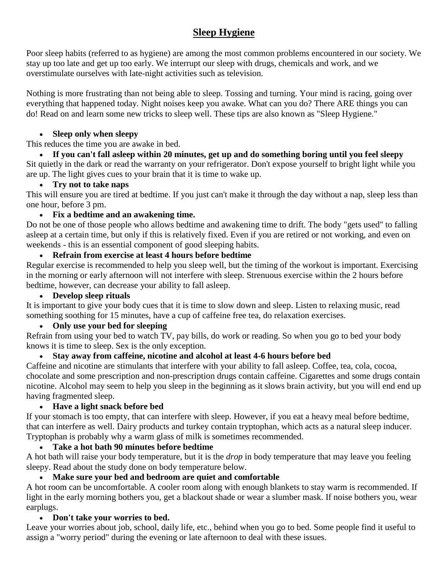# **Sleep Hygiene**

Poor sleep habits (referred to as hygiene) are among the most common problems encountered in our society. We stay up too late and get up too early. We interrupt our sleep with drugs, chemicals and work, and we overstimulate ourselves with late-night activities such as television.

Nothing is more frustrating than not being able to sleep. Tossing and turning. Your mind is racing, going over everything that happened today. Night noises keep you awake. What can you do? There ARE things you can do! Read on and learn some new tricks to sleep well. These tips are also known as "Sleep Hygiene."

#### **Sleep only when sleepy**

This reduces the time you are awake in bed.

 **If you can't fall asleep within 20 minutes, get up and do something boring until you feel sleepy** Sit quietly in the dark or read the warranty on your refrigerator. Don't expose yourself to bright light while you are up. The light gives cues to your brain that it is time to wake up.

### **Try not to take naps**

This will ensure you are tired at bedtime. If you just can't make it through the day without a nap, sleep less than one hour, before 3 pm.

### **Fix a bedtime and an awakening time.**

Do not be one of those people who allows bedtime and awakening time to drift. The body "gets used" to falling asleep at a certain time, but only if this is relatively fixed. Even if you are retired or not working, and even on weekends - this is an essential component of good sleeping habits.

### **Refrain from exercise at least 4 hours before bedtime**

Regular exercise is recommended to help you sleep well, but the timing of the workout is important. Exercising in the morning or early afternoon will not interfere with sleep. Strenuous exercise within the 2 hours before bedtime, however, can decrease your ability to fall asleep.

### **Develop sleep rituals**

It is important to give your body cues that it is time to slow down and sleep. Listen to relaxing music, read something soothing for 15 minutes, have a cup of caffeine free tea, do relaxation exercises.

# **Only use your bed for sleeping**

Refrain from using your bed to watch TV, pay bills, do work or reading. So when you go to bed your body knows it is time to sleep. Sex is the only exception.

# **Stay away from caffeine, nicotine and alcohol at least 4-6 hours before bed**

Caffeine and nicotine are stimulants that interfere with your ability to fall asleep. Coffee, tea, cola, cocoa, chocolate and some prescription and non-prescription drugs contain caffeine. Cigarettes and some drugs contain nicotine. Alcohol may seem to help you sleep in the beginning as it slows brain activity, but you will end end up having fragmented sleep.

### **Have a light snack before bed**

If your stomach is too empty, that can interfere with sleep. However, if you eat a heavy meal before bedtime, that can interfere as well. Dairy products and turkey contain tryptophan, which acts as a natural sleep inducer. Tryptophan is probably why a warm glass of milk is sometimes recommended.

# **Take a hot bath 90 minutes before bedtime**

A hot bath will raise your body temperature, but it is the *drop* in body temperature that may leave you feeling sleepy. Read about the study done on body temperature below.

# **Make sure your bed and bedroom are quiet and comfortable**

A hot room can be uncomfortable. A cooler room along with enough blankets to stay warm is recommended. If light in the early morning bothers you, get a blackout shade or wear a slumber mask. If noise bothers you, wear earplugs.

### **Don't take your worries to bed.**

Leave your worries about job, school, daily life, etc., behind when you go to bed. Some people find it useful to assign a "worry period" during the evening or late afternoon to deal with these issues.